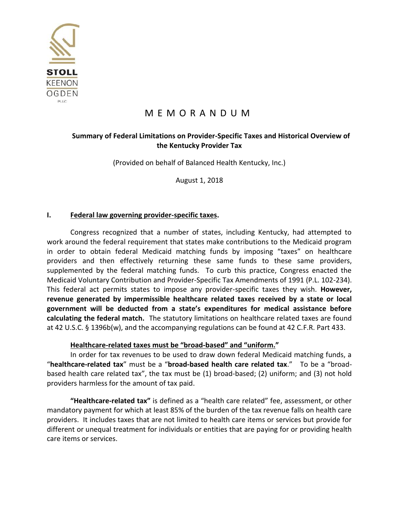

# M E M O R A N D U M

# **Summary of Federal Limitations on Provider-Specific Taxes and Historical Overview of the Kentucky Provider Tax**

(Provided on behalf of Balanced Health Kentucky, Inc.)

August 1, 2018

### **I. Federal law governing provider-specific taxes.**

Congress recognized that a number of states, including Kentucky, had attempted to work around the federal requirement that states make contributions to the Medicaid program in order to obtain federal Medicaid matching funds by imposing "taxes" on healthcare providers and then effectively returning these same funds to these same providers, supplemented by the federal matching funds. To curb this practice, Congress enacted the Medicaid Voluntary Contribution and Provider-Specific Tax Amendments of 1991 (P.L. 102-234). This federal act permits states to impose any provider-specific taxes they wish. **However, revenue generated by impermissible healthcare related taxes received by a state or local government will be deducted from a state's expenditures for medical assistance before calculating the federal match.** The statutory limitations on healthcare related taxes are found at 42 U.S.C. § 1396b(w), and the accompanying regulations can be found at 42 C.F.R. Part 433.

### **Healthcare-related taxes must be "broad-based" and "uniform."**

In order for tax revenues to be used to draw down federal Medicaid matching funds, a "**healthcare-related tax**" must be a "**broad-based health care related tax**." To be a "broadbased health care related tax", the tax must be (1) broad-based; (2) uniform; and (3) not hold providers harmless for the amount of tax paid.

**"Healthcare-related tax"** is defined as a "health care related" fee, assessment, or other mandatory payment for which at least 85% of the burden of the tax revenue falls on health care providers. It includes taxes that are not limited to health care items or services but provide for different or unequal treatment for individuals or entities that are paying for or providing health care items or services.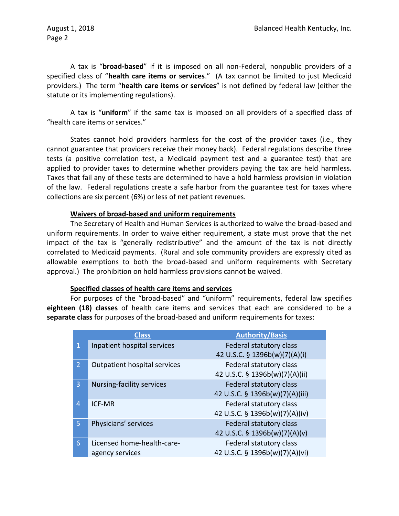August 1, 2018 Page 2

A tax is "**broad-based**" if it is imposed on all non-Federal, nonpublic providers of a specified class of "**health care items or services**." (A tax cannot be limited to just Medicaid providers.) The term "**health care items or services**" is not defined by federal law (either the statute or its implementing regulations).

A tax is "**uniform**" if the same tax is imposed on all providers of a specified class of "health care items or services."

States cannot hold providers harmless for the cost of the provider taxes (i.e., they cannot guarantee that providers receive their money back). Federal regulations describe three tests (a positive correlation test, a Medicaid payment test and a guarantee test) that are applied to provider taxes to determine whether providers paying the tax are held harmless. Taxes that fail any of these tests are determined to have a hold harmless provision in violation of the law. Federal regulations create a safe harbor from the guarantee test for taxes where collections are six percent (6%) or less of net patient revenues.

### **Waivers of broad-based and uniform requirements**

The Secretary of Health and Human Services is authorized to waive the broad-based and uniform requirements. In order to waive either requirement, a state must prove that the net impact of the tax is "generally redistributive" and the amount of the tax is not directly correlated to Medicaid payments. (Rural and sole community providers are expressly cited as allowable exemptions to both the broad-based and uniform requirements with Secretary approval.) The prohibition on hold harmless provisions cannot be waived.

### **Specified classes of health care items and services**

For purposes of the "broad-based" and "uniform" requirements, federal law specifies **eighteen (18) classes** of health care items and services that each are considered to be a **separate class** for purposes of the broad-based and uniform requirements for taxes:

|                 | <b>Class</b>                 | <b>Authority/Basis</b>          |  |
|-----------------|------------------------------|---------------------------------|--|
| $\mathbf{1}$    | Inpatient hospital services  | Federal statutory class         |  |
|                 |                              | 42 U.S.C. § 1396b(w)(7)(A)(i)   |  |
| 2 <sup>1</sup>  | Outpatient hospital services | Federal statutory class         |  |
|                 |                              | 42 U.S.C. § 1396b(w)(7)(A)(ii)  |  |
| 3               | Nursing-facility services    | Federal statutory class         |  |
|                 |                              | 42 U.S.C. § 1396b(w)(7)(A)(iii) |  |
| $\overline{4}$  | <b>ICF-MR</b>                | Federal statutory class         |  |
|                 |                              | 42 U.S.C. § 1396b(w)(7)(A)(iv)  |  |
| 5 <sup>1</sup>  | Physicians' services         | Federal statutory class         |  |
|                 |                              | 42 U.S.C. § 1396b(w)(7)(A)(v)   |  |
| $6\overline{6}$ | Licensed home-health-care-   | Federal statutory class         |  |
|                 | agency services              | 42 U.S.C. § 1396b(w)(7)(A)(vi)  |  |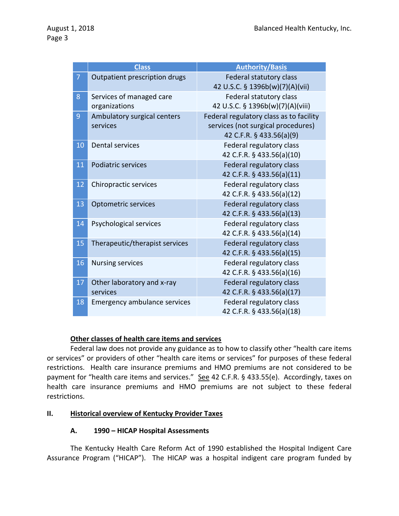|    | <b>Class</b>                              | <b>Authority/Basis</b>                                                                                    |  |
|----|-------------------------------------------|-----------------------------------------------------------------------------------------------------------|--|
| 7  | Outpatient prescription drugs             | <b>Federal statutory class</b><br>42 U.S.C. § 1396b(w)(7)(A)(vii)                                         |  |
| 8  | Services of managed care<br>organizations | Federal statutory class<br>42 U.S.C. § 1396b(w)(7)(A)(viii)                                               |  |
| 9  | Ambulatory surgical centers<br>services   | Federal regulatory class as to facility<br>services (not surgical procedures)<br>42 C.F.R. § 433.56(a)(9) |  |
| 10 | <b>Dental services</b>                    | Federal regulatory class<br>42 C.F.R. § 433.56(a)(10)                                                     |  |
| 11 | <b>Podiatric services</b>                 | Federal regulatory class<br>42 C.F.R. § 433.56(a)(11)                                                     |  |
| 12 | Chiropractic services                     | Federal regulatory class<br>42 C.F.R. § 433.56(a)(12)                                                     |  |
| 13 | <b>Optometric services</b>                | Federal regulatory class<br>42 C.F.R. § 433.56(a)(13)                                                     |  |
| 14 | Psychological services                    | Federal regulatory class<br>42 C.F.R. § 433.56(a)(14)                                                     |  |
| 15 | Therapeutic/therapist services            | Federal regulatory class<br>42 C.F.R. § 433.56(a)(15)                                                     |  |
| 16 | <b>Nursing services</b>                   | Federal regulatory class<br>42 C.F.R. § 433.56(a)(16)                                                     |  |
| 17 | Other laboratory and x-ray<br>services    | Federal regulatory class<br>42 C.F.R. § 433.56(a)(17)                                                     |  |
| 18 | <b>Emergency ambulance services</b>       | Federal regulatory class<br>42 C.F.R. § 433.56(a)(18)                                                     |  |

### **Other classes of health care items and services**

Federal law does not provide any guidance as to how to classify other "health care items or services" or providers of other "health care items or services" for purposes of these federal restrictions. Health care insurance premiums and HMO premiums are not considered to be payment for "health care items and services." See 42 C.F.R. § 433.55(e). Accordingly, taxes on health care insurance premiums and HMO premiums are not subject to these federal restrictions.

### **II. Historical overview of Kentucky Provider Taxes**

### **A. 1990 – HICAP Hospital Assessments**

The Kentucky Health Care Reform Act of 1990 established the Hospital Indigent Care Assurance Program ("HICAP"). The HICAP was a hospital indigent care program funded by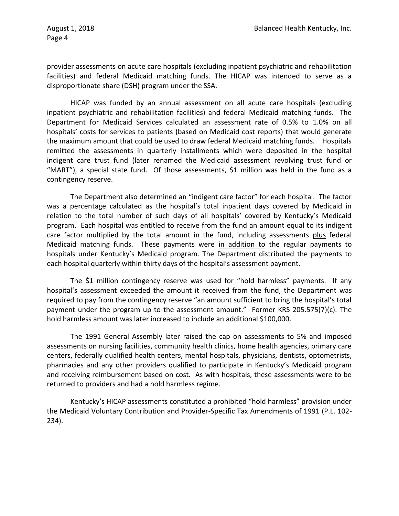provider assessments on acute care hospitals (excluding inpatient psychiatric and rehabilitation facilities) and federal Medicaid matching funds. The HICAP was intended to serve as a disproportionate share (DSH) program under the SSA.

HICAP was funded by an annual assessment on all acute care hospitals (excluding inpatient psychiatric and rehabilitation facilities) and federal Medicaid matching funds. The Department for Medicaid Services calculated an assessment rate of 0.5% to 1.0% on all hospitals' costs for services to patients (based on Medicaid cost reports) that would generate the maximum amount that could be used to draw federal Medicaid matching funds. Hospitals remitted the assessments in quarterly installments which were deposited in the hospital indigent care trust fund (later renamed the Medicaid assessment revolving trust fund or "MART"), a special state fund. Of those assessments, \$1 million was held in the fund as a contingency reserve.

The Department also determined an "indigent care factor" for each hospital. The factor was a percentage calculated as the hospital's total inpatient days covered by Medicaid in relation to the total number of such days of all hospitals' covered by Kentucky's Medicaid program. Each hospital was entitled to receive from the fund an amount equal to its indigent care factor multiplied by the total amount in the fund, including assessments plus federal Medicaid matching funds. These payments were in addition to the regular payments to hospitals under Kentucky's Medicaid program. The Department distributed the payments to each hospital quarterly within thirty days of the hospital's assessment payment.

The \$1 million contingency reserve was used for "hold harmless" payments. If any hospital's assessment exceeded the amount it received from the fund, the Department was required to pay from the contingency reserve "an amount sufficient to bring the hospital's total payment under the program up to the assessment amount." Former KRS 205.575(7)(c). The hold harmless amount was later increased to include an additional \$100,000.

The 1991 General Assembly later raised the cap on assessments to 5% and imposed assessments on nursing facilities, community health clinics, home health agencies, primary care centers, federally qualified health centers, mental hospitals, physicians, dentists, optometrists, pharmacies and any other providers qualified to participate in Kentucky's Medicaid program and receiving reimbursement based on cost. As with hospitals, these assessments were to be returned to providers and had a hold harmless regime.

Kentucky's HICAP assessments constituted a prohibited "hold harmless" provision under the Medicaid Voluntary Contribution and Provider-Specific Tax Amendments of 1991 (P.L. 102- 234).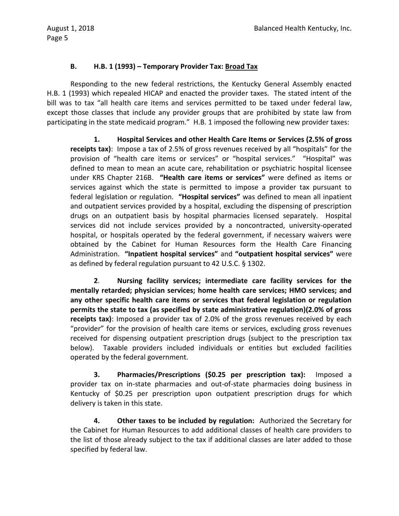## **B. H.B. 1 (1993) – Temporary Provider Tax: Broad Tax**

Responding to the new federal restrictions, the Kentucky General Assembly enacted H.B. 1 (1993) which repealed HICAP and enacted the provider taxes. The stated intent of the bill was to tax "all health care items and services permitted to be taxed under federal law, except those classes that include any provider groups that are prohibited by state law from participating in the state medicaid program." H.B. 1 imposed the following new provider taxes:

**1. Hospital Services and other Health Care Items or Services (2.5% of gross receipts tax)**: Impose a tax of 2.5% of gross revenues received by all "hospitals" for the provision of "health care items or services" or "hospital services." "Hospital" was defined to mean to mean an acute care, rehabilitation or psychiatric hospital licensee under KRS Chapter 216B. **"Health care items or services"** were defined as items or services against which the state is permitted to impose a provider tax pursuant to federal legislation or regulation. **"Hospital services"** was defined to mean all inpatient and outpatient services provided by a hospital, excluding the dispensing of prescription drugs on an outpatient basis by hospital pharmacies licensed separately. Hospital services did not include services provided by a noncontracted, university-operated hospital, or hospitals operated by the federal government, if necessary waivers were obtained by the Cabinet for Human Resources form the Health Care Financing Administration. **"Inpatient hospital services"** and **"outpatient hospital services"** were as defined by federal regulation pursuant to 42 U.S.C. § 1302.

**2**. **Nursing facility services; intermediate care facility services for the mentally retarded; physician services; home health care services; HMO services; and any other specific health care items or services that federal legislation or regulation permits the state to tax (as specified by state administrative regulation)(2.0% of gross receipts tax)**: Imposed a provider tax of 2.0% of the gross revenues received by each "provider" for the provision of health care items or services, excluding gross revenues received for dispensing outpatient prescription drugs (subject to the prescription tax below). Taxable providers included individuals or entities but excluded facilities operated by the federal government.

**3. Pharmacies/Prescriptions (\$0.25 per prescription tax):** Imposed a provider tax on in-state pharmacies and out-of-state pharmacies doing business in Kentucky of \$0.25 per prescription upon outpatient prescription drugs for which delivery is taken in this state.

**4. Other taxes to be included by regulation:** Authorized the Secretary for the Cabinet for Human Resources to add additional classes of health care providers to the list of those already subject to the tax if additional classes are later added to those specified by federal law.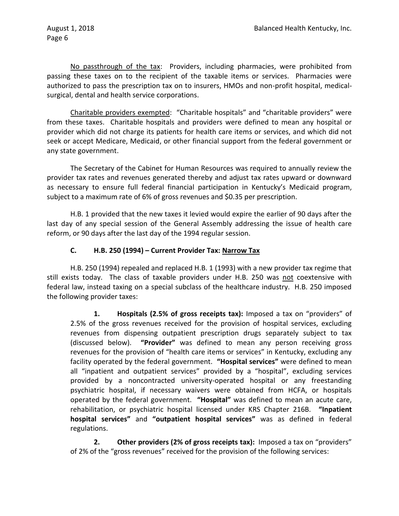No passthrough of the tax: Providers, including pharmacies, were prohibited from passing these taxes on to the recipient of the taxable items or services. Pharmacies were authorized to pass the prescription tax on to insurers, HMOs and non-profit hospital, medicalsurgical, dental and health service corporations.

Charitable providers exempted: "Charitable hospitals" and "charitable providers" were from these taxes. Charitable hospitals and providers were defined to mean any hospital or provider which did not charge its patients for health care items or services, and which did not seek or accept Medicare, Medicaid, or other financial support from the federal government or any state government.

The Secretary of the Cabinet for Human Resources was required to annually review the provider tax rates and revenues generated thereby and adjust tax rates upward or downward as necessary to ensure full federal financial participation in Kentucky's Medicaid program, subject to a maximum rate of 6% of gross revenues and \$0.35 per prescription.

H.B. 1 provided that the new taxes it levied would expire the earlier of 90 days after the last day of any special session of the General Assembly addressing the issue of health care reform, or 90 days after the last day of the 1994 regular session.

# **C. H.B. 250 (1994) – Current Provider Tax: Narrow Tax**

H.B. 250 (1994) repealed and replaced H.B. 1 (1993) with a new provider tax regime that still exists today. The class of taxable providers under H.B. 250 was not coextensive with federal law, instead taxing on a special subclass of the healthcare industry. H.B. 250 imposed the following provider taxes:

**1. Hospitals (2.5% of gross receipts tax):** Imposed a tax on "providers" of 2.5% of the gross revenues received for the provision of hospital services, excluding revenues from dispensing outpatient prescription drugs separately subject to tax (discussed below). **"Provider"** was defined to mean any person receiving gross revenues for the provision of "health care items or services" in Kentucky, excluding any facility operated by the federal government. **"Hospital services"** were defined to mean all "inpatient and outpatient services" provided by a "hospital", excluding services provided by a noncontracted university-operated hospital or any freestanding psychiatric hospital, if necessary waivers were obtained from HCFA, or hospitals operated by the federal government. **"Hospital"** was defined to mean an acute care, rehabilitation, or psychiatric hospital licensed under KRS Chapter 216B. **"Inpatient hospital services"** and **"outpatient hospital services"** was as defined in federal regulations.

**2. Other providers (2% of gross receipts tax):** Imposed a tax on "providers" of 2% of the "gross revenues" received for the provision of the following services: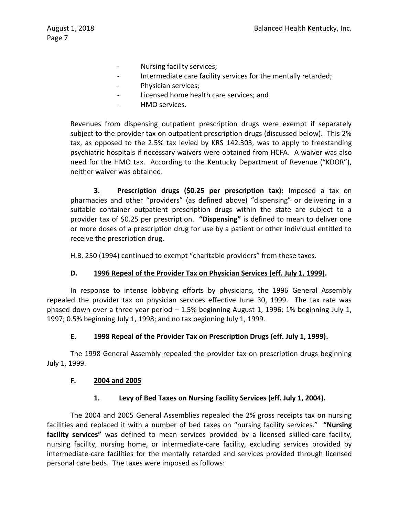- Nursing facility services;
- Intermediate care facility services for the mentally retarded;
- Physician services;
- Licensed home health care services; and
- HMO services.

Revenues from dispensing outpatient prescription drugs were exempt if separately subject to the provider tax on outpatient prescription drugs (discussed below). This 2% tax, as opposed to the 2.5% tax levied by KRS 142.303, was to apply to freestanding psychiatric hospitals if necessary waivers were obtained from HCFA. A waiver was also need for the HMO tax. According to the Kentucky Department of Revenue ("KDOR"), neither waiver was obtained.

**3. Prescription drugs (\$0.25 per prescription tax):** Imposed a tax on pharmacies and other "providers" (as defined above) "dispensing" or delivering in a suitable container outpatient prescription drugs within the state are subject to a provider tax of \$0.25 per prescription. **"Dispensing"** is defined to mean to deliver one or more doses of a prescription drug for use by a patient or other individual entitled to receive the prescription drug.

H.B. 250 (1994) continued to exempt "charitable providers" from these taxes.

### **D. 1996 Repeal of the Provider Tax on Physician Services (eff. July 1, 1999).**

In response to intense lobbying efforts by physicians, the 1996 General Assembly repealed the provider tax on physician services effective June 30, 1999. The tax rate was phased down over a three year period – 1.5% beginning August 1, 1996; 1% beginning July 1, 1997; 0.5% beginning July 1, 1998; and no tax beginning July 1, 1999.

### **E. 1998 Repeal of the Provider Tax on Prescription Drugs (eff. July 1, 1999).**

The 1998 General Assembly repealed the provider tax on prescription drugs beginning July 1, 1999.

### **F. 2004 and 2005**

### **1. Levy of Bed Taxes on Nursing Facility Services (eff. July 1, 2004).**

The 2004 and 2005 General Assemblies repealed the 2% gross receipts tax on nursing facilities and replaced it with a number of bed taxes on "nursing facility services." **"Nursing facility services"** was defined to mean services provided by a licensed skilled-care facility, nursing facility, nursing home, or intermediate-care facility, excluding services provided by intermediate-care facilities for the mentally retarded and services provided through licensed personal care beds. The taxes were imposed as follows: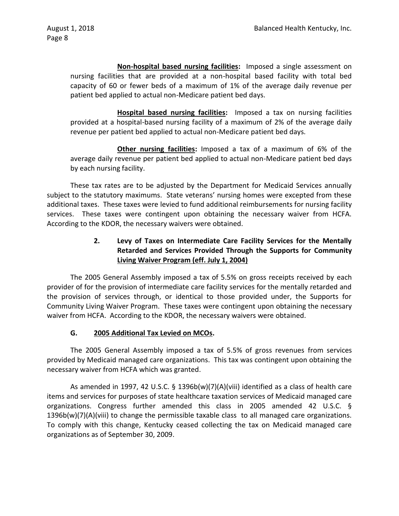**Non-hospital based nursing facilities:** Imposed a single assessment on nursing facilities that are provided at a non-hospital based facility with total bed capacity of 60 or fewer beds of a maximum of 1% of the average daily revenue per patient bed applied to actual non-Medicare patient bed days.

**Hospital based nursing facilities:** Imposed a tax on nursing facilities provided at a hospital-based nursing facility of a maximum of 2% of the average daily revenue per patient bed applied to actual non-Medicare patient bed days.

**Other nursing facilities:** Imposed a tax of a maximum of 6% of the average daily revenue per patient bed applied to actual non-Medicare patient bed days by each nursing facility.

These tax rates are to be adjusted by the Department for Medicaid Services annually subject to the statutory maximums. State veterans' nursing homes were excepted from these additional taxes. These taxes were levied to fund additional reimbursements for nursing facility services. These taxes were contingent upon obtaining the necessary waiver from HCFA. According to the KDOR, the necessary waivers were obtained.

# **2. Levy of Taxes on Intermediate Care Facility Services for the Mentally Retarded and Services Provided Through the Supports for Community Living Waiver Program (eff. July 1, 2004)**

The 2005 General Assembly imposed a tax of 5.5% on gross receipts received by each provider of for the provision of intermediate care facility services for the mentally retarded and the provision of services through, or identical to those provided under, the Supports for Community Living Waiver Program. These taxes were contingent upon obtaining the necessary waiver from HCFA. According to the KDOR, the necessary waivers were obtained.

### **G. 2005 Additional Tax Levied on MCOs.**

The 2005 General Assembly imposed a tax of 5.5% of gross revenues from services provided by Medicaid managed care organizations. This tax was contingent upon obtaining the necessary waiver from HCFA which was granted.

As amended in 1997, 42 U.S.C. § 1396b(w)(7)(A)(viii) identified as a class of health care items and services for purposes of state healthcare taxation services of Medicaid managed care organizations. Congress further amended this class in 2005 amended 42 U.S.C. § 1396b(w)(7)(A)(viii) to change the permissible taxable class to all managed care organizations. To comply with this change, Kentucky ceased collecting the tax on Medicaid managed care organizations as of September 30, 2009.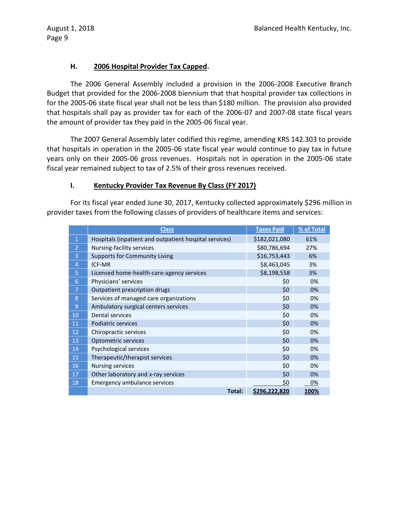### **H. 2006 Hospital Provider Tax Capped.**

The 2006 General Assembly included a provision in the 2006-2008 Executive Branch Budget that provided for the 2006-2008 biennium that that hospital provider tax collections in for the 2005-06 state fiscal year shall not be less than \$180 million. The provision also provided that hospitals shall pay as provider tax for each of the 2006-07 and 2007-08 state fiscal years the amount of provider tax they paid in the 2005-06 fiscal year.

The 2007 General Assembly later codified this regime, amending KRS 142.303 to provide that hospitals in operation in the 2005-06 state fiscal year would continue to pay tax in future years only on their 2005-06 gross revenues. Hospitals not in operation in the 2005-06 state fiscal year remained subject to tax of 2.5% of their gross revenues received.

### **I. Kentucky Provider Tax Revenue By Class (FY 2017)**

For its fiscal year ended June 30, 2017, Kentucky collected approximately \$296 million in provider taxes from the following classes of providers of healthcare items and services:

|                | <b>Class</b>                                           | <b>Taxes Paid</b> | % of Total  |
|----------------|--------------------------------------------------------|-------------------|-------------|
| $\mathbf{1}$   | Hospitals (inpatient and outpatient hospital services) | \$182,021,080     | 61%         |
| $\overline{2}$ | Nursing-facility services                              | \$80,786,694      | 27%         |
| 3              | <b>Supports for Community Living</b>                   | \$16,753,443      | 6%          |
| $\overline{4}$ | <b>ICF-MR</b>                                          | \$8,463,045       | 3%          |
| 5              | Licensed home-health-care-agency services              | \$8,198,558       | 3%          |
| 6              | Physicians' services                                   | \$0               | 0%          |
| 7              | Outpatient prescription drugs                          | \$0               | 0%          |
| 8              | Services of managed care organizations                 | \$0               | 0%          |
| 9              | Ambulatory surgical centers services                   | \$0               | 0%          |
| 10             | <b>Dental services</b>                                 | \$0               | 0%          |
| 11             | Podiatric services                                     | \$0               | 0%          |
| 12             | Chiropractic services                                  | \$0               | 0%          |
| 13             | Optometric services                                    | \$0               | 0%          |
| 14             | Psychological services                                 | \$0               | 0%          |
| 15             | Therapeutic/therapist services                         | \$0               | 0%          |
| 16             | <b>Nursing services</b>                                | \$0               | 0%          |
| 17             | Other laboratory and x-ray services                    | \$0               | 0%          |
| 18             | Emergency ambulance services                           | \$0               | 0%          |
|                | Total:                                                 | \$296,222,820     | <u>100%</u> |